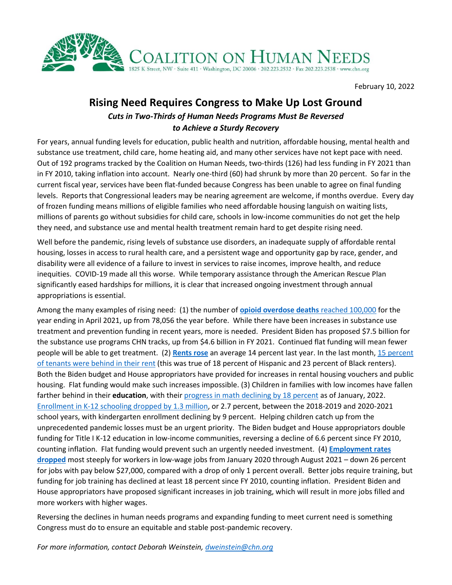

February 10, 2022

## **Rising Need Requires Congress to Make Up Lost Ground**

## *Cuts in Two-Thirds of Human Needs Programs Must Be Reversed to Achieve a Sturdy Recovery*

For years, annual funding levels for education, public health and nutrition, affordable housing, mental health and substance use treatment, child care, home heating aid, and many other services have not kept pace with need. Out of 192 programs tracked by the Coalition on Human Needs, two-thirds (126) had less funding in FY 2021 than in FY 2010, taking inflation into account. Nearly one-third (60) had shrunk by more than 20 percent. So far in the current fiscal year, services have been flat-funded because Congress has been unable to agree on final funding levels. Reports that Congressional leaders may be nearing agreement are welcome, if months overdue. Every day of frozen funding means millions of eligible families who need affordable housing languish on waiting lists, millions of parents go without subsidies for child care, schools in low-income communities do not get the help they need, and substance use and mental health treatment remain hard to get despite rising need.

Well before the pandemic, rising levels of substance use disorders, an inadequate supply of affordable rental housing, losses in access to rural health care, and a persistent wage and opportunity gap by race, gender, and disability were all evidence of a failure to invest in services to raise incomes, improve health, and reduce inequities. COVID-19 made all this worse. While temporary assistance through the American Rescue Plan significantly eased hardships for millions, it is clear that increased ongoing investment through annual appropriations is essential.

Among the many examples of rising need: (1) the number of **[opioid overdose deaths](https://www.cdc.gov/nchs/pressroom/nchs_press_releases/2021/20211117.htm)** reached 100,000 for the year ending in April 2021, up from 78,056 the year before. While there have been increases in substance use treatment and prevention funding in recent years, more is needed. President Biden has proposed \$7.5 billion for the substance use programs CHN tracks, up from \$4.6 billion in FY 2021. Continued flat funding will mean fewer people will be able to get treatment. (2) **[Rents rose](https://www.redfin.com/news/redfin-rental-report-december-2021/)** an average 14 percent last year. In the last month[, 15 percent](https://www.census.gov/data/tables/2021/demo/hhp/hhp41.html#tables)  [of tenants were behind in their rent](https://www.census.gov/data/tables/2021/demo/hhp/hhp41.html#tables) (this was true of 18 percent of Hispanic and 23 percent of Black renters). Both the Biden budget and House appropriators have provided for increases in rental housing vouchers and public housing. Flat funding would make such increases impossible. (3) Children in families with low incomes have fallen farther behind in their **education**, with thei[r progress in math declining by 18 percent](https://www.chn.org/wp-content/uploads/2022/02/LowIncomeMath.png) as of January, 2022. [Enrollment in K-12 schooling dropped by 1.3 million,](https://bellwethereducation.org/publication/missing-margins-estimating-scale-covid-19-attendance-crisis#2021) or 2.7 percent, between the 2018-2019 and 2020-2021 school years, with kindergarten enrollment declining by 9 percent. Helping children catch up from the unprecedented pandemic losses must be an urgent priority. The Biden budget and House appropriators double funding for Title I K-12 education in low-income communities, reversing a decline of 6.6 percent since FY 2010, counting inflation. Flat funding would prevent such an urgently needed investment. (4) **[Employment rates](https://tracktherecovery.org/)  [dropped](https://tracktherecovery.org/)** most steeply for workers in low-wage jobs from January 2020 through August 2021 – down 26 percent for jobs with pay below \$27,000, compared with a drop of only 1 percent overall. Better jobs require training, but funding for job training has declined at least 18 percent since FY 2010, counting inflation. President Biden and House appropriators have proposed significant increases in job training, which will result in more jobs filled and more workers with higher wages.

Reversing the declines in human needs programs and expanding funding to meet current need is something Congress must do to ensure an equitable and stable post-pandemic recovery.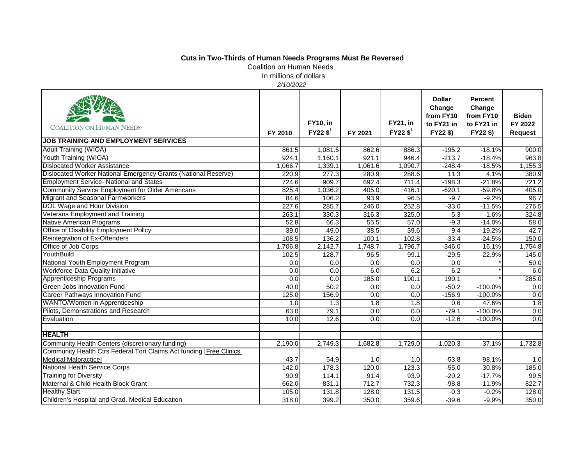## **Cuts in Two-Thirds of Human Needs Programs Must Be Reversed**

Coalition on Human Needs In millions of dollars

*2/10/2022*

| <b>COALITION ON HUMAN NEEDS</b>                                      | FY 2010 | <b>FY10, in</b><br>$FY22$ \$ <sup>1</sup> | FY 2021          | <b>FY21, in</b><br>$FY22$ \$ <sup>1</sup> | <b>Dollar</b><br>Change<br>from FY10<br>to FY21 in<br>FY22\$) | <b>Percent</b><br>Change<br>from FY10<br>to FY21 in<br>FY22 \$) | <b>Biden</b><br>FY 2022<br><b>Request</b> |
|----------------------------------------------------------------------|---------|-------------------------------------------|------------------|-------------------------------------------|---------------------------------------------------------------|-----------------------------------------------------------------|-------------------------------------------|
| <b>JOB TRAINING AND EMPLOYMENT SERVICES</b>                          |         |                                           |                  |                                           |                                                               |                                                                 |                                           |
| <b>Adult Training (WIOA)</b>                                         | 861.5   | 1,081.5                                   | 862.6            | 886.3                                     | $-195.2$                                                      | $-18.1%$                                                        | 900.0                                     |
| Youth Training (WIOA)                                                | 924.1   | 1,160.1                                   | 921.1            | 946.4                                     | $-213.7$                                                      | $-18.4%$                                                        | 963.8                                     |
| <b>Dislocated Worker Assistance</b>                                  | 1,066.7 | 1,339.1                                   | 1,061.6          | 1,090.7                                   | $-248.4$                                                      | $-18.5%$                                                        | 1,155.3                                   |
| Dislocated Worker National Emergency Grants (National Reserve)       | 220.9   | 277.3                                     | 280.9            | 288.6                                     | 11.3                                                          | 4.1%                                                            | 380.9                                     |
| <b>Employment Service- National and States</b>                       | 724.6   | 909.7                                     | 692.4            | 711.4                                     | $-198.3$                                                      | $-21.8%$                                                        | 721.2                                     |
| Community Service Employment for Older Americans                     | 825.4   | 1,036.2                                   | 405.0            | 416.1                                     | $-620.1$                                                      | $-59.8%$                                                        | 405.0                                     |
| <b>Migrant and Seasonal Farmworkers</b>                              | 84.6    | 106.2                                     | 93.9             | 96.5                                      | $-9.7$                                                        | $-9.2%$                                                         | 96.7                                      |
| DOL Wage and Hour Division                                           | 227.6   | 285.7                                     | 246.0            | 252.8                                     | $-33.0$                                                       | $-11.5%$                                                        | 276.5                                     |
| Veterans Employment and Training                                     | 263.1   | 330.3                                     | 316.3            | 325.0                                     | $-5.3$                                                        | $-1.6%$                                                         | 324.8                                     |
| <b>Native American Programs</b>                                      | 52.8    | 66.3                                      | 55.5             | 57.0                                      | $-9.3$                                                        | $-14.0%$                                                        | 58.0                                      |
| Office of Disability Employment Policy                               | 39.0    | 49.0                                      | 38.5             | 39.6                                      | $-9.4$                                                        | $-19.2%$                                                        | 42.7                                      |
| Reintegration of Ex-Offenders                                        | 108.5   | 136.2                                     | 100.1            | 102.8                                     | $-33.4$                                                       | $-24.5%$                                                        | 150.0                                     |
| Office of Job Corps                                                  | 1,706.8 | 2,142.7                                   | 1,748.7          | 1,796.7                                   | $-346.0$                                                      | $-16.1%$                                                        | 1,754.8                                   |
| YouthBuild                                                           | 102.5   | 128.7                                     | 96.5             | 99.1                                      | $-29.5$                                                       | $-22.9%$                                                        | 145.0                                     |
| National Youth Employment Program                                    | 0.0     | 0.0                                       | 0.0              | 0.0                                       | 0.0                                                           |                                                                 | 50.0                                      |
| Workforce Data Quality Initiative                                    | 0.0     | 0.0                                       | 6.0              | 6.2                                       | 6.2                                                           |                                                                 | 6.0                                       |
| <b>Apprenticeship Programs</b>                                       | 0.0     | 0.0                                       | 185.0            | 190.1                                     | 190.1                                                         |                                                                 | 285.0                                     |
| <b>Green Jobs Innovation Fund</b>                                    | 40.0    | 50.2                                      | 0.0              | 0.0                                       | $-50.2$                                                       | $-100.0%$                                                       | 0.0                                       |
| <b>Career Pathways Innovation Fund</b>                               | 125.0   | 156.9                                     | 0.0              | 0.0                                       | $-156.9$                                                      | $-100.0%$                                                       | 0.0                                       |
| WANTO/Women in Apprenticeship                                        | 1.0     | 1.3                                       | $\overline{1.8}$ | $\overline{1.8}$                          | 0.6                                                           | 47.6%                                                           | 1.8                                       |
| Pilots, Demonstrations and Research                                  | 63.0    | 79.1                                      | 0.0              | 0.0                                       | $-79.1$                                                       | $-100.0%$                                                       | 0.0                                       |
| Evaluation                                                           | 10.0    | 12.6                                      | 0.0              | 0.0                                       | $-12.6$                                                       | $-100.0%$                                                       | 0.0                                       |
| <b>HEALTH</b>                                                        |         |                                           |                  |                                           |                                                               |                                                                 |                                           |
| Community Health Centers (discretionary funding)                     | 2,190.0 | 2,749.3                                   | 1.682.8          | 1,729.0                                   | $-1,020.3$                                                    | $-37.1%$                                                        | 1,732.8                                   |
| Community Health Ctrs Federal Tort Claims Act funding [Free Clinics] |         |                                           |                  |                                           |                                                               |                                                                 |                                           |
| <b>Medical Malpractice</b> ]                                         | 43.7    | 54.9                                      | 1.0              | 1.0                                       | $-53.8$                                                       | $-98.1%$                                                        | 1.0                                       |
| <b>National Health Service Corps</b>                                 | 142.0   | 178.3                                     | 120.0            | 123.3                                     | $-55.0$                                                       | $-30.8%$                                                        | 185.0                                     |
| <b>Training for Diversity</b>                                        | 90.9    | 114.1                                     | 91.4             | 93.9                                      | $-20.2$                                                       | $-17.7%$                                                        | 99.5                                      |
| Maternal & Child Health Block Grant                                  | 662.0   | 831.1                                     | 712.7            | 732.3                                     | $-98.8$                                                       | $-11.9%$                                                        | 822.7                                     |
| <b>Healthy Start</b>                                                 | 105.0   | 131.8                                     | 128.0            | 131.5                                     | $-0.3$                                                        | $-0.2%$                                                         | 128.0                                     |
| Children's Hospital and Grad. Medical Education                      | 318.0   | 399.2                                     | 350.0            | 359.6                                     | $-39.6$                                                       | $-9.9%$                                                         | 350.0                                     |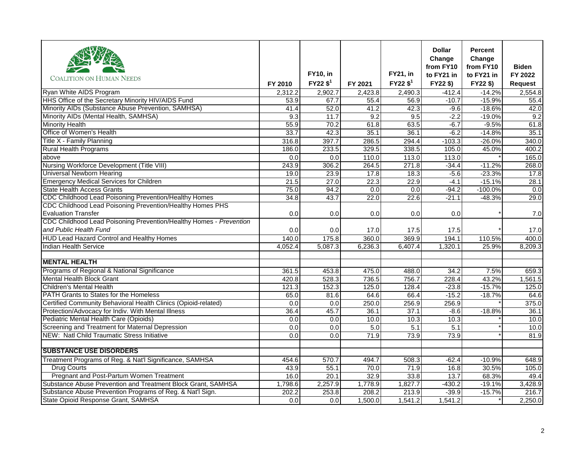|                                                                    |                  |                        |         |                        | <b>Dollar</b><br>Change | Percent<br>Change |                |
|--------------------------------------------------------------------|------------------|------------------------|---------|------------------------|-------------------------|-------------------|----------------|
|                                                                    |                  |                        |         |                        | from FY10               | from FY10         | <b>Biden</b>   |
| <b>COALITION ON HUMAN NEEDS</b>                                    |                  | <b>FY10, in</b>        |         | <b>FY21, in</b>        | to FY21 in              | to FY21 in        | FY 2022        |
|                                                                    | FY 2010          | $FY22$ \$ <sup>1</sup> | FY 2021 | $FY22$ \$ <sup>1</sup> | FY22\$)                 | FY22 \$)          | <b>Request</b> |
| Ryan White AIDS Program                                            | 2,312.2          | 2,902.7                | 2,423.8 | 2,490.3                | $-412.4$                | $-14.2%$          | 2,554.8        |
| HHS Office of the Secretary Minority HIV/AIDS Fund                 | 53.9             | 67.7                   | 55.4    | 56.9                   | $-10.7$                 | $-15.9%$          | 55.4           |
| Minority AIDs (Substance Abuse Prevention, SAMHSA)                 | 41.4             | 52.0                   | 41.2    | 42.3                   | $-9.6$                  | $-18.6%$          | 42.0           |
| Minority AIDs (Mental Health, SAMHSA)                              | 9.3              | 11.7                   | 9.2     | 9.5                    | $-2.2$                  | $-19.0%$          | 9.2            |
| <b>Minority Health</b>                                             | 55.9             | 70.2                   | 61.8    | 63.5                   | $-6.7$                  | $-9.5%$           | 61.8           |
| Office of Women's Health                                           | 33.7             | 42.3                   | 35.1    | 36.1                   | $-6.2$                  | $-14.8%$          | 35.1           |
| Title X - Family Planning                                          | 316.8            | 397.7                  | 286.5   | 294.4                  | $-103.3$                | $-26.0%$          | 340.0          |
| <b>Rural Health Programs</b>                                       | 186.0            | 233.5                  | 329.5   | 338.5                  | 105.0                   | 45.0%             | 400.2          |
| above                                                              | $\overline{0.0}$ | 0.0                    | 110.0   | 113.0                  | 113.0                   |                   | 165.0          |
| Nursing Workforce Development (Title VIII)                         | 243.9            | 306.2                  | 264.5   | 271.8                  | $-34.4$                 | $-11.2%$          | 268.0          |
| <b>Universal Newborn Hearing</b>                                   | 19.0             | 23.9                   | 17.8    | 18.3                   | $-5.6$                  | $-23.3%$          | 17.8           |
| <b>Emergency Medical Services for Children</b>                     | 21.5             | 27.0                   | 22.3    | 22.9                   | $-4.1$                  | $-15.1%$          | 28.1           |
| <b>State Health Access Grants</b>                                  | 75.0             | 94.2                   | 0.0     | 0.0                    | $-94.2$                 | $-100.0%$         | 0.0            |
| CDC Childhood Lead Poisoning Prevention/Healthy Homes              | 34.8             | 43.7                   | 22.0    | 22.6                   | $-21.1$                 | $-48.3%$          | 29.0           |
| CDC Childhood Lead Poisoning Prevention/Healthy Homes PHS          |                  |                        |         |                        |                         |                   |                |
| <b>Evaluation Transfer</b>                                         | 0.0              | 0.0                    | 0.0     | 0.0                    | 0.0                     |                   | 7.0            |
| CDC Childhood Lead Poisoning Prevention/Healthy Homes - Prevention |                  |                        |         |                        |                         |                   |                |
| and Public Health Fund                                             | 0.0              | 0.0                    | 17.0    | 17.5                   | 17.5                    |                   | 17.0           |
| <b>HUD Lead Hazard Control and Healthy Homes</b>                   | 140.0            | 175.8                  | 360.0   | 369.9                  | 194.1                   | 110.5%            | 400.0          |
| <b>Indian Health Service</b>                                       | 4.052.4          | 5,087.3                | 6,236.3 | 6,407.4                | 1,320.1                 | 25.9%             | 8,209.3        |
|                                                                    |                  |                        |         |                        |                         |                   |                |
| <b>MENTAL HEALTH</b>                                               |                  |                        |         |                        |                         |                   |                |
| Programs of Regional & National Significance                       | 361.5            | 453.8                  | 475.0   | 488.0                  | 34.2                    | 7.5%              | 659.3          |
| <b>Mental Health Block Grant</b>                                   | 420.8            | 528.3                  | 736.5   | 756.7                  | 228.4                   | 43.2%             | 1,561.5        |
| <b>Children's Mental Health</b>                                    | 121.3            | 152.3                  | 125.0   | 128.4                  | $-23.8$                 | $-15.7%$          | 125.0          |
| <b>PATH Grants to States for the Homeless</b>                      | 65.0             | 81.6                   | 64.6    | 66.4                   | $-15.2$                 | $-18.7%$          | 64.6           |
| Certified Community Behavioral Health Clinics (Opioid-related)     | 0.0              | 0.0                    | 250.0   | 256.9                  | 256.9                   |                   | 375.0          |
| Protection/Advocacy for Indiv. With Mental Illness                 | 36.4             | 45.7                   | 36.1    | 37.1                   | $-8.6$                  | $-18.8%$          | 36.1           |
| Pediatric Mental Health Care (Opioids)                             | 0.0              | 0.0                    | 10.0    | 10.3                   | 10.3                    |                   | 10.0           |
| Screening and Treatment for Maternal Depression                    | 0.0              | 0.0                    | 5.0     | 5.1                    | 5.1                     |                   | 10.0           |
| NEW: Natl Child Traumatic Stress Initiative                        | 0.0              | 0.0                    | 71.9    | 73.9                   | 73.9                    |                   | 81.9           |
|                                                                    |                  |                        |         |                        |                         |                   |                |
| <b>SUBSTANCE USE DISORDERS</b>                                     |                  |                        |         |                        |                         |                   |                |
| Treatment Programs of Reg. & Nat'l Significance, SAMHSA            | 454.6            | 570.7                  | 494.7   | 508.3                  | $-62.4$                 | $-10.9%$          | 648.9          |
| <b>Drug Courts</b>                                                 | 43.9             | 55.1                   | 70.0    | 71.9                   | 16.8                    | 30.5%             | 105.0          |
| Pregnant and Post-Partum Women Treatment                           | 16.0             | 20.1                   | 32.9    | 33.8                   | 13.7                    | 68.3%             | 49.4           |
| Substance Abuse Prevention and Treatment Block Grant, SAMHSA       | 1,798.6          | 2,257.9                | 1,778.9 | 1,827.7                | $-430.2$                | $-19.1%$          | 3,428.9        |
| Substance Abuse Prevention Programs of Reg. & Nat'l Sign.          | 202.2            | 253.8                  | 208.2   | 213.9                  | $-39.9$                 | $-15.7%$          | 216.7          |
| State Opioid Response Grant, SAMHSA                                | 0.0              | 0.0                    | 1,500.0 | 1,541.2                | 1,541.2                 |                   | 2,250.0        |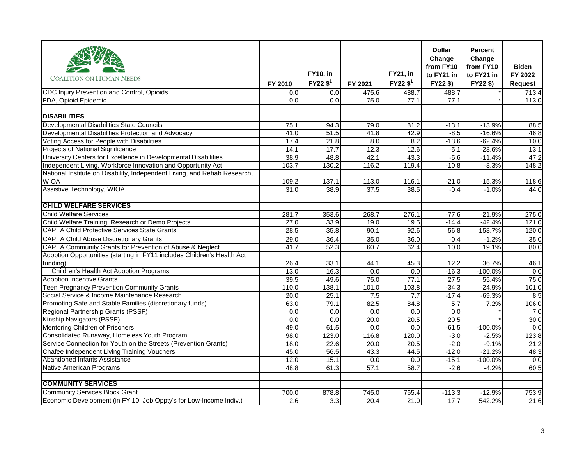| <b>COALITION ON HUMAN NEEDS</b>                                           |         | <b>FY10, in</b>        |         | <b>FY21, in</b>        | <b>Dollar</b><br>Change<br>from FY10<br>to FY21 in | <b>Percent</b><br>Change<br>from FY10<br>to FY21 in | <b>Biden</b><br>FY 2022 |
|---------------------------------------------------------------------------|---------|------------------------|---------|------------------------|----------------------------------------------------|-----------------------------------------------------|-------------------------|
|                                                                           | FY 2010 | $FY22$ \$ <sup>1</sup> | FY 2021 | $FY22$ \$ <sup>1</sup> | FY22\$)                                            | FY22\$)                                             | Request                 |
| CDC Injury Prevention and Control, Opioids                                | 0.0     | 0.0                    | 475.6   | 488.7                  | 488.7                                              |                                                     | 713.4                   |
| FDA, Opioid Epidemic                                                      | 0.0     | 0.0                    | 75.0    | 77.1                   | 77.1                                               |                                                     | 113.0                   |
|                                                                           |         |                        |         |                        |                                                    |                                                     |                         |
| <b>DISABILITIES</b>                                                       |         |                        |         |                        |                                                    |                                                     |                         |
| <b>Developmental Disabilities State Councils</b>                          | 75.1    | 94.3                   | 79.0    | 81.2                   | $-13.1$                                            | $-13.9%$                                            | 88.5                    |
| Developmental Disabilities Protection and Advocacy                        | 41.0    | 51.5                   | 41.8    | 42.9                   | $-8.5$                                             | $-16.6%$                                            | 46.8                    |
| Voting Access for People with Disabilities                                | 17.4    | 21.8                   | 8.0     | 8.2                    | $-13.6$                                            | $-62.4%$                                            | 10.0                    |
| Projects of National Significance                                         | 14.1    | 17.7                   | 12.3    | 12.6                   | $-5.1$                                             | $-28.6%$                                            | 13.1                    |
| University Centers for Excellence in Developmental Disabilities           | 38.9    | 48.8                   | 42.1    | 43.3                   | $-5.6$                                             | $-11.4%$                                            | 47.2                    |
| Independent Living, Workforce Innovation and Opportunity Act              | 103.7   | 130.2                  | 116.2   | 119.4                  | $-10.8$                                            | $-8.3%$                                             | 148.2                   |
| National Institute on Disability, Independent Living, and Rehab Research, |         |                        |         |                        |                                                    |                                                     |                         |
| <b>WIOA</b>                                                               | 109.2   | 137.1                  | 113.0   | 116.1                  | $-21.0$                                            | $-15.3%$                                            | 118.6                   |
| Assistive Technology, WIOA                                                | 31.0    | 38.9                   | 37.5    | 38.5                   | $-0.4$                                             | $-1.0%$                                             | 44.0                    |
|                                                                           |         |                        |         |                        |                                                    |                                                     |                         |
| <b>CHILD WELFARE SERVICES</b>                                             |         |                        |         |                        |                                                    |                                                     |                         |
| <b>Child Welfare Services</b>                                             | 281.7   | 353.6                  | 268.7   | 276.1                  | $-77.6$                                            | $-21.9%$                                            | 275.0                   |
| Child Welfare Training, Research or Demo Projects                         | 27.0    | 33.9                   | 19.0    | 19.5                   | $-14.4$                                            | $-42.4%$                                            | 121.0                   |
| <b>CAPTA Child Protective Services State Grants</b>                       | 28.5    | 35.8                   | 90.1    | 92.6                   | 56.8                                               | 158.7%                                              | 120.0                   |
| <b>CAPTA Child Abuse Discretionary Grants</b>                             | 29.0    | 36.4                   | 35.0    | 36.0                   | $-0.4$                                             | $-1.2%$                                             | 35.0                    |
| CAPTA Community Grants for Prevention of Abuse & Neglect                  | 41.7    | 52.3                   | 60.7    | 62.4                   | 10.0                                               | 19.1%                                               | 80.0                    |
| Adoption Opportunities (starting in FY11 includes Children's Health Act   |         |                        |         |                        |                                                    |                                                     |                         |
| funding)                                                                  | 26.4    | 33.1                   | 44.1    | 45.3                   | 12.2                                               | 36.7%                                               | 46.1                    |
| Children's Health Act Adoption Programs                                   | 13.0    | 16.3                   | 0.0     | 0.0                    | $-16.3$                                            | $-100.0%$                                           | 0.0                     |
| <b>Adoption Incentive Grants</b>                                          | 39.5    | 49.6                   | 75.0    | 77.1                   | 27.5                                               | 55.4%                                               | 75.0                    |
| Teen Pregnancy Prevention Community Grants                                | 110.0   | 138.1                  | 101.0   | 103.8                  | $-34.3$                                            | $-24.9%$                                            | 101.0                   |
| Social Service & Income Maintenance Research                              | 20.0    | 25.1                   | 7.5     | 7.7                    | $-17.4$                                            | $-69.3%$                                            | 8.5                     |
| Promoting Safe and Stable Families (discretionary funds)                  | 63.0    | 79.1                   | 82.5    | 84.8                   | 5.7                                                | 7.2%                                                | 106.0                   |
| Regional Partnership Grants (PSSF)                                        | 0.0     | 0.0                    | 0.0     | 0.0                    | 0.0                                                |                                                     | 7.0                     |
| Kinship Navigators (PSSF)                                                 | 0.0     | 0.0                    | 20.0    | 20.5                   | 20.5                                               |                                                     | 30.0                    |
| <b>Mentoring Children of Prisoners</b>                                    | 49.0    | 61.5                   | 0.0     | 0.0                    | $-61.5$                                            | $-100.0%$                                           | 0.0                     |
| Consolidated Runaway, Homeless Youth Program                              | 98.0    | 123.0                  | 116.8   | 120.0                  | $-3.0$                                             | $-2.5%$                                             | 123.8                   |
| Service Connection for Youth on the Streets (Prevention Grants)           | 18.0    | 22.6                   | 20.0    | 20.5                   | $-2.0$                                             | $-9.1%$                                             | 21.2                    |
| Chafee Independent Living Training Vouchers                               | 45.0    | 56.5                   | 43.3    | 44.5                   | $-12.0$                                            | $-21.2%$                                            | 48.3                    |
| Abandoned Infants Assistance                                              | 12.0    | 15.1                   | 0.0     | $\overline{0.0}$       | $-15.1$                                            | $-100.0%$                                           | 0.0                     |
| Native American Programs                                                  | 48.8    | 61.3                   | 57.1    | 58.7                   | $-2.6$                                             | $-4.2%$                                             | 60.5                    |
| <b>COMMUNITY SERVICES</b>                                                 |         |                        |         |                        |                                                    |                                                     |                         |
| <b>Community Services Block Grant</b>                                     | 700.0   | 878.8                  | 745.0   | 765.4                  | $-113.3$                                           | $-12.9%$                                            | 753.9                   |
| Economic Development (in FY 10, Job Oppty's for Low-Income Indiv.)        | 2.6     | $\overline{3.3}$       | 20.4    | 21.0                   | 17.7                                               | 542.2%                                              | 21.6                    |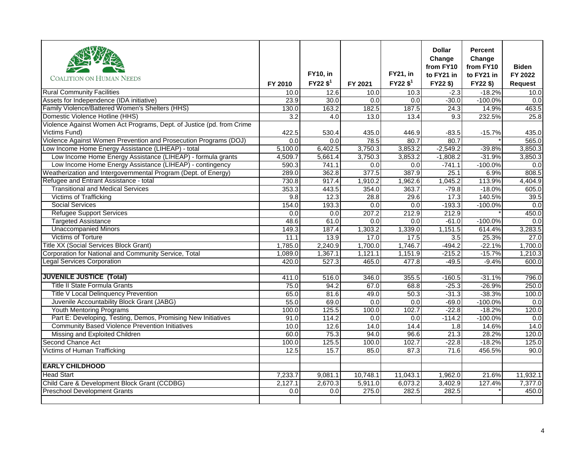|                                                                       |                  |                        |          |                        | <b>Dollar</b><br>Change | <b>Percent</b><br>Change |                |
|-----------------------------------------------------------------------|------------------|------------------------|----------|------------------------|-------------------------|--------------------------|----------------|
|                                                                       |                  |                        |          |                        | from FY10               | from FY10                | <b>Biden</b>   |
| <b>COALITION ON HUMAN NEEDS</b>                                       |                  | <b>FY10, in</b>        |          | <b>FY21, in</b>        | to FY21 in              | to FY21 in               | FY 2022        |
|                                                                       | FY 2010          | $FY22$ \$ <sup>1</sup> | FY 2021  | $FY22$ \$ <sup>1</sup> | FY22\$)                 | FY22 \$)                 | <b>Request</b> |
| <b>Rural Community Facilities</b>                                     | 10.0             | 12.6                   | 10.0     | 10.3                   | $-2.3$                  | $-18.2%$                 | 10.0           |
| Assets for Independence (IDA initiative)                              | 23.9             | 30.0                   | 0.0      | 0.0                    | $-30.0$                 | $-100.0%$                | 0.0            |
| Family Violence/Battered Women's Shelters (HHS)                       | 130.0            | 163.2                  | 182.5    | 187.5                  | 24.3                    | 14.9%                    | 463.5          |
| Domestic Violence Hotline (HHS)                                       | $\overline{3.2}$ | $\overline{4.0}$       | 13.0     | 13.4                   | 9.3                     | 232.5%                   | 25.8           |
| Violence Against Women Act Programs, Dept. of Justice (pd. from Crime |                  |                        |          |                        |                         |                          |                |
| Victims Fund)                                                         | 422.5            | 530.4                  | 435.0    | 446.9                  | $-83.5$                 | $-15.7%$                 | 435.0          |
| Violence Against Women Prevention and Prosecution Programs (DOJ)      | 0.0              | 0.0                    | 78.5     | 80.7                   | 80.7                    |                          | 565.0          |
| Low Income Home Energy Assistance (LIHEAP) - total                    | 5,100.0          | 6,402.5                | 3,750.3  | 3,853.2                | $-2,549.2$              | $-39.8%$                 | 3.850.3        |
| Low Income Home Energy Assistance (LIHEAP) - formula grants           | 4,509.7          | 5,661.4                | 3,750.3  | 3,853.2                | $-1,808.2$              | $-31.9%$                 | 3,850.3        |
| Low Income Home Energy Assistance (LIHEAP) - contingency              | 590.3            | 741.1                  | 0.0      | 0.0                    | $-741.1$                | $-100.0%$                | 0.0            |
| Weatherization and Intergovernmental Program (Dept. of Energy)        | 289.0            | 362.8                  | 377.5    | 387.9                  | 25.1                    | 6.9%                     | 808.5          |
| Refugee and Entrant Assistance - total                                | 730.8            | 917.4                  | 1,910.2  | 1,962.6                | 1,045.2                 | 113.9%                   | 4,404.9        |
| <b>Transitional and Medical Services</b>                              | 353.3            | 443.5                  | 354.0    | 363.7                  | $-79.8$                 | $-18.0%$                 | 605.0          |
| <b>Victims of Trafficking</b>                                         | 9.8              | 12.3                   | 28.8     | 29.6                   | 17.3                    | 140.5%                   | 39.5           |
| <b>Social Services</b>                                                | 154.0            | 193.3                  | 0.0      | 0.0                    | $-193.3$                | $-100.0%$                | 0.0            |
| <b>Refugee Support Services</b>                                       | 0.0              | 0.0                    | 207.2    | 212.9                  | 212.9                   |                          | 450.0          |
| <b>Targeted Assistance</b>                                            | 48.6             | 61.0                   | 0.0      | 0.0                    | $-61.0$                 | $-100.0%$                | 0.0            |
| <b>Unaccompanied Minors</b>                                           | 149.3            | 187.4                  | 1,303.2  | 1,339.0                | 1,151.5                 | 614.4%                   | 3,283.5        |
| <b>Victims of Torture</b>                                             | 11.1             | 13.9                   | 17.0     | 17.5                   | 3.5                     | 25.3%                    | 27.0           |
| <b>Title XX (Social Services Block Grant)</b>                         | 1,785.0          | 2,240.9                | 1,700.0  | 1,746.7                | $-494.2$                | $-22.1%$                 | 1,700.0        |
| Corporation for National and Community Service, Total                 | 1,089.0          | 1,367.1                | 1,121.1  | 1,151.9                | $-215.2$                | $-15.7%$                 | 1,210.3        |
| <b>Legal Services Corporation</b>                                     | 420.0            | 527.3                  | 465.0    | 477.8                  | $-49.5$                 | $-9.4%$                  | 600.0          |
| <b>JUVENILE JUSTICE (Total)</b>                                       | 411.0            | 516.0                  | 346.0    | 355.5                  | $-160.5$                | $-31.1%$                 | 796.0          |
| <b>Title II State Formula Grants</b>                                  | 75.0             | 94.2                   | 67.0     | 68.8                   | $-25.3$                 | $-26.9%$                 | 250.0          |
| <b>Title V Local Delinquency Prevention</b>                           | 65.0             | 81.6                   | 49.0     | 50.3                   | $-31.3$                 | $-38.3%$                 | 100.0          |
| Juvenile Accountability Block Grant (JABG)                            | 55.0             | 69.0                   | 0.0      | 0.0                    | $-69.0$                 | $-100.0%$                | 0.0            |
| <b>Youth Mentoring Programs</b>                                       | 100.0            | 125.5                  | 100.0    | 102.7                  | $-22.8$                 | $-18.2%$                 | 120.0          |
| Part E: Developing, Testing, Demos, Promising New Initiatives         | 91.0             | 114.2                  | 0.0      | 0.0                    | $-114.2$                | $-100.0%$                | 0.0            |
| <b>Community Based Violence Prevention Initiatives</b>                | 10.0             | 12.6                   | 14.0     | 14.4                   | 1.8                     | 14.6%                    | 14.0           |
| Missing and Exploited Children                                        | 60.0             | 75.3                   | 94.0     | 96.6                   | 21.3                    | 28.2%                    | 120.0          |
| Second Chance Act                                                     | 100.0            | 125.5                  | 100.0    | 102.7                  | $-22.8$                 | $-18.2%$                 | 125.0          |
| Victims of Human Trafficking                                          | 12.5             | 15.7                   | 85.0     | 87.3                   | 71.6                    | 456.5%                   | 90.0           |
| <b>EARLY CHILDHOOD</b>                                                |                  |                        |          |                        |                         |                          |                |
|                                                                       |                  |                        |          |                        |                         |                          |                |
| <b>Head Start</b>                                                     | 7,233.7          | 9,081.1                | 10,748.1 | 11,043.1               | 1,962.0                 | 21.6%                    | 11,932.1       |
| Child Care & Development Block Grant (CCDBG)                          | 2.127.1          | 2.670.3                | 5,911.0  | 6,073.2                | 3,402.9                 | 127.4%                   | 7.377.0        |
| <b>Preschool Development Grants</b>                                   | 0.0              | 0.0                    | 275.0    | 282.5                  | 282.5                   |                          | 450.0          |
|                                                                       |                  |                        |          |                        |                         |                          |                |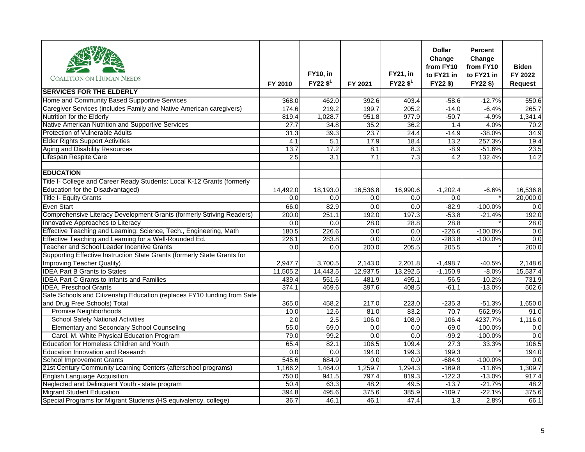| <b>COALITION ON HUMAN NEEDS</b>                                          | FY 2010          | <b>FY10, in</b><br>$FY22$ \$ <sup>1</sup> | FY 2021  | <b>FY21, in</b><br>$FY22$ \$ <sup>1</sup> | <b>Dollar</b><br>Change<br>from FY10<br>to FY21 in<br>FY22\$) | <b>Percent</b><br>Change<br>from FY10<br>to FY21 in<br>FY22\$) | <b>Biden</b><br>FY 2022<br><b>Request</b> |
|--------------------------------------------------------------------------|------------------|-------------------------------------------|----------|-------------------------------------------|---------------------------------------------------------------|----------------------------------------------------------------|-------------------------------------------|
| <b>SERVICES FOR THE ELDERLY</b>                                          |                  |                                           |          |                                           |                                                               |                                                                |                                           |
| Home and Community Based Supportive Services                             | 368.0            | 462.0                                     | 392.6    | 403.4                                     | $-58.6$                                                       | $-12.7%$                                                       | 550.6                                     |
| Caregiver Services (includes Family and Native American caregivers)      | 174.6            | 219.2                                     | 199.7    | 205.2                                     | $-14.0$                                                       | $-6.4%$                                                        | 265.7                                     |
| Nutrition for the Elderly                                                | 819.4            | 1,028.7                                   | 951.8    | 977.9                                     | $-50.7$                                                       | $-4.9%$                                                        | 1,341.4                                   |
| Native American Nutrition and Supportive Services                        | 27.7             | 34.8                                      | 35.2     | 36.2                                      | 1.4                                                           | 4.0%                                                           | 70.2                                      |
| <b>Protection of Vulnerable Adults</b>                                   | 31.3             | 39.3                                      | 23.7     | 24.4                                      | $-14.9$                                                       | $-38.0%$                                                       | 34.9                                      |
| <b>Elder Rights Support Activities</b>                                   | 4.1              | 5.1                                       | 17.9     | 18.4                                      | 13.2                                                          | 257.3%                                                         | 19.4                                      |
| Aging and Disability Resources                                           | 13.7             | 17.2                                      | 8.1      | 8.3                                       | $-8.9$                                                        | $-51.6%$                                                       | 23.5                                      |
| Lifespan Respite Care                                                    | $\overline{2.5}$ | $\overline{3.1}$                          | 7.1      | 7.3                                       | 4.2                                                           | 132.4%                                                         | 14.2                                      |
| <b>EDUCATION</b>                                                         |                  |                                           |          |                                           |                                                               |                                                                |                                           |
| Title I- College and Career Ready Students: Local K-12 Grants (formerly  |                  |                                           |          |                                           |                                                               |                                                                |                                           |
| Education for the Disadvantaged)                                         | 14,492.0         | 18,193.0                                  | 16,536.8 | 16,990.6                                  | $-1,202.4$                                                    | $-6.6%$                                                        | 16,536.8                                  |
| <b>Title I- Equity Grants</b>                                            | 0.0              | 0.0                                       | 0.0      | 0.0                                       | 0.0                                                           |                                                                | 20.000.0                                  |
| Even Start                                                               | 66.0             | 82.9                                      | 0.0      | 0.0                                       | $-82.9$                                                       | $-100.0%$                                                      | 0.0                                       |
| Comprehensive Literacy Development Grants (formerly Striving Readers)    | 200.0            | 251.1                                     | 192.0    | 197.3                                     | $-53.8$                                                       | $-21.4%$                                                       | 192.0                                     |
| Innovative Approaches to Literacy                                        | 0.0              | 0.0                                       | 28.0     | 28.8                                      | 28.8                                                          |                                                                | 28.0                                      |
| Effective Teaching and Learning: Science, Tech., Engineering, Math       | 180.5            | 226.6                                     | 0.0      | $\overline{0.0}$                          | $-226.6$                                                      | $-100.0%$                                                      | 0.0                                       |
| Effective Teaching and Learning for a Well-Rounded Ed.                   | 226.1            | 283.8                                     | 0.0      | 0.0                                       | $-283.8$                                                      | $-100.0%$                                                      | 0.0                                       |
| Teacher and School Leader Incentive Grants                               | 0.0              | 0.0                                       | 200.0    | 205.5                                     | 205.5                                                         |                                                                | 200.0                                     |
| Supporting Effective Instruction State Grants (formerly State Grants for |                  |                                           |          |                                           |                                                               |                                                                |                                           |
| Improving Teacher Quality)                                               | 2,947.7          | 3,700.5                                   | 2,143.0  | 2,201.8                                   | $-1,498.7$                                                    | $-40.5%$                                                       | 2,148.6                                   |
| <b>IDEA Part B Grants to States</b>                                      | 11,505.2         | 14,443.5                                  | 12,937.5 | 13,292.5                                  | $-1,150.9$                                                    | $-8.0%$                                                        | 15,537.4                                  |
| <b>IDEA Part C Grants to Infants and Families</b>                        | 439.4            | 551.6                                     | 481.9    | 495.1                                     | $-56.5$                                                       | $-10.2%$                                                       | 731.9                                     |
| <b>IDEA, Preschool Grants</b>                                            | 374.1            | 469.6                                     | 397.6    | 408.5                                     | $-61.1$                                                       | $-13.0%$                                                       | 502.6                                     |
| Safe Schools and Citizenship Education (replaces FY10 funding from Safe  |                  |                                           |          |                                           |                                                               |                                                                |                                           |
| and Drug Free Schools) Total                                             | 365.0            | 458.2                                     | 217.0    | 223.0                                     | $-235.3$                                                      | $-51.3%$                                                       | 1,650.0                                   |
| <b>Promise Neighborhoods</b>                                             | 10.0             | 12.6                                      | 81.0     | 83.2                                      | 70.7                                                          | 562.9%                                                         | 91.0                                      |
| <b>School Safety National Activities</b>                                 | 2.0              | 2.5                                       | 106.0    | 108.9                                     | 106.4                                                         | 4237.7%                                                        | 1,116.0                                   |
| Elementary and Secondary School Counseling                               | 55.0             | 69.0                                      | 0.0      | 0.0                                       | $-69.0$                                                       | $-100.0%$                                                      | 0.0                                       |
| Carol. M. White Physical Education Program                               | 79.0             | 99.2                                      | 0.0      | 0.0                                       | $-99.2$                                                       | $-100.0%$                                                      | 0.0                                       |
| Education for Homeless Children and Youth                                | 65.4             | 82.1                                      | 106.5    | 109.4                                     | $\overline{27.3}$                                             | 33.3%                                                          | 106.5                                     |
| <b>Education Innovation and Research</b>                                 | 0.0              | 0.0                                       | 194.0    | 199.3                                     | 199.3                                                         |                                                                | 194.0                                     |
| <b>School Improvement Grants</b>                                         | 545.6            | 684.9                                     | 0.0      | 0.0                                       | $-684.9$                                                      | $-100.0%$                                                      | 0.0                                       |
| 21st Century Community Learning Centers (afterschool programs)           | 1,166.2          | 1,464.0                                   | 1,259.7  | 1,294.3                                   | $-169.8$                                                      | $-11.6%$                                                       | 1,309.7                                   |
| <b>English Language Acquisition</b>                                      | 750.0            | 941.5                                     | 797.4    | 819.3                                     | $-122.3$                                                      | $-13.0%$                                                       | 917.4                                     |
| Neglected and Delinquent Youth - state program                           | 50.4             | 63.3                                      | 48.2     | 49.5                                      | $-13.7$                                                       | $-21.7%$                                                       | 48.2                                      |
| <b>Migrant Student Education</b>                                         | 394.8            | 495.6                                     | 375.6    | 385.9                                     | $-109.7$                                                      | $-22.1%$                                                       | 375.6                                     |
| Special Programs for Migrant Students (HS equivalency, college)          | 36.7             | 46.1                                      | 46.1     | 47.4                                      | 1.3                                                           | 2.8%                                                           | 66.1                                      |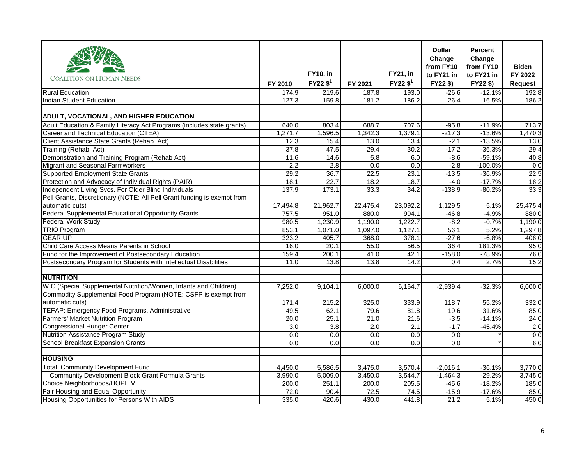|                                                                         |                  | <b>FY10, in</b>      |          | <b>FY21, in</b>        | <b>Dollar</b><br>Change<br>from FY10<br>to FY21 in | <b>Percent</b><br>Change<br>from FY10<br>to FY21 in | <b>Biden</b><br>FY 2022 |
|-------------------------------------------------------------------------|------------------|----------------------|----------|------------------------|----------------------------------------------------|-----------------------------------------------------|-------------------------|
| <b>COALITION ON HUMAN NEEDS</b>                                         | FY 2010          | FY22 \$ <sup>1</sup> | FY 2021  | $FY22$ \$ <sup>1</sup> | FY22\$)                                            | FY22\$)                                             | <b>Request</b>          |
| <b>Rural Education</b>                                                  | 174.9            | 219.6                | 187.8    | 193.0                  | $-26.6$                                            | $-12.1%$                                            | 192.8                   |
| <b>Indian Student Education</b>                                         | 127.3            | 159.8                | 181.2    | 186.2                  | 26.4                                               | 16.5%                                               | 186.2                   |
|                                                                         |                  |                      |          |                        |                                                    |                                                     |                         |
| <b>ADULT, VOCATIONAL, AND HIGHER EDUCATION</b>                          |                  |                      |          |                        |                                                    |                                                     |                         |
| Adult Education & Family Literacy Act Programs (includes state grants)  | 640.0            | 803.4                | 688.7    | 707.6                  | $-95.8$                                            | $-11.9%$                                            | 713.7                   |
| Career and Technical Education (CTEA)                                   | 1,271.7          | 1,596.5              | 1,342.3  | 1,379.1                | $-217.3$                                           | $-13.6%$                                            | 1,470.3                 |
| Client Assistance State Grants (Rehab. Act)                             | 12.3             | 15.4                 | 13.0     | 13.4                   | $-2.1$                                             | $-13.5%$                                            | 13.0                    |
| Training (Rehab. Act)                                                   | 37.8             | 47.5                 | 29.4     | 30.2                   | $-17.2$                                            | $-36.3%$                                            | 29.4                    |
| Demonstration and Training Program (Rehab Act)                          | 11.6             | 14.6                 | 5.8      | 6.0                    | $-8.6$                                             | $-59.1%$                                            | 40.8                    |
| Migrant and Seasonal Farmworkers                                        | 2.2              | 2.8                  | 0.0      | 0.0                    | $-2.8$                                             | $-100.0%$                                           | 0.0                     |
| <b>Supported Employment State Grants</b>                                | 29.2             | 36.7                 | 22.5     | 23.1                   | $-13.5$                                            | $-36.9%$                                            | 22.5                    |
| Protection and Advocacy of Individual Rights (PAIR)                     | 18.1             | 22.7                 | 18.2     | 18.7                   | $-4.0$                                             | $-17.7%$                                            | 18.2                    |
| Independent Living Svcs. For Older Blind Individuals                    | 137.9            | 173.1                | 33.3     | 34.2                   | $-138.9$                                           | $-80.2%$                                            | 33.3                    |
| Pell Grants, Discretionary (NOTE: All Pell Grant funding is exempt from |                  |                      |          |                        |                                                    |                                                     |                         |
| automatic cuts)                                                         | 17,494.8         | 21,962.7             | 22,475.4 | 23,092.2               | 1,129.5                                            | 5.1%                                                | 25,475.4                |
| <b>Federal Supplemental Educational Opportunity Grants</b>              | 757.5            | 951.0                | 880.0    | 904.1                  | $-46.8$                                            | $-4.9%$                                             | 880.0                   |
| <b>Federal Work Study</b>                                               | 980.5            | 1,230.9              | 1,190.0  | 1,222.7                | $-8.2$                                             | $-0.7%$                                             | 1,190.0                 |
| <b>TRIO Program</b>                                                     | 853.1            | 1,071.0              | 1,097.0  | 1,127.1                | 56.1                                               | 5.2%                                                | 1,297.8                 |
| <b>GEAR UP</b>                                                          | 323.2            | 405.7                | 368.0    | 378.1                  | $-27.6$                                            | $-6.8%$                                             | 408.0                   |
| Child Care Access Means Parents in School                               | 16.0             | 20.1                 | 55.0     | 56.5                   | 36.4                                               | 181.3%                                              | 95.0                    |
| Fund for the Improvement of Postsecondary Education                     | 159.4            | 200.1                | 41.0     | 42.1                   | $-158.0$                                           | $-78.9%$                                            | 76.0                    |
| Postsecondary Program for Students with Intellectual Disabilities       | 11.0             | 13.8                 | 13.8     | 14.2                   | 0.4                                                | 2.7%                                                | 15.2                    |
| <b>NUTRITION</b>                                                        |                  |                      |          |                        |                                                    |                                                     |                         |
| WIC (Special Supplemental Nutrition/Women, Infants and Children)        | 7,252.0          | 9,104.1              | 6,000.0  | 6,164.7                | $-2,939.4$                                         | $-32.3%$                                            | 6,000.0                 |
| Commodity Supplemental Food Program (NOTE: CSFP is exempt from          |                  |                      |          |                        |                                                    |                                                     |                         |
| automatic cuts)                                                         | 171.4            | 215.2                | 325.0    | 333.9                  | 118.7                                              | 55.2%                                               | 332.0                   |
| TEFAP: Emergency Food Programs, Administrative                          | 49.5             | 62.1                 | 79.6     | 81.8                   | 19.6                                               | 31.6%                                               | 85.0                    |
| <b>Farmers' Market Nutrition Program</b>                                | 20.0             | 25.1                 | 21.0     | 21.6                   | $-3.5$                                             | $-14.1%$                                            | 24.0                    |
| <b>Congressional Hunger Center</b>                                      | 3.0              | 3.8                  | 2.0      | 2.1                    | $-1.7$                                             | $-45.4%$                                            | 2.0                     |
| Nutrition Assistance Program Study                                      | $\overline{0.0}$ | 0.0                  | 0.0      | 0.0                    | $\overline{0.0}$                                   |                                                     | 0.0                     |
| <b>School Breakfast Expansion Grants</b>                                | 0.0              | 0.0                  | 0.0      | 0.0                    | 0.0                                                |                                                     | 6.0                     |
| <b>HOUSING</b>                                                          |                  |                      |          |                        |                                                    |                                                     |                         |
| <b>Total, Community Development Fund</b>                                | 4,450.0          | 5,586.5              | 3,475.0  | 3,570.4                | $-2,016.1$                                         | $-36.1%$                                            | 3,770.0                 |
| Community Development Block Grant Formula Grants                        | 3,990.0          | 5,009.0              | 3,450.0  | 3,544.7                | $-1,464.3$                                         | $-29.2%$                                            | 3,745.0                 |
| Choice Neighborhoods/HOPE VI                                            | 200.0            | 251.1                | 200.0    | 205.5                  | $-45.6$                                            | $-18.2%$                                            | 185.0                   |
| Fair Housing and Equal Opportunity                                      | 72.0             | 90.4                 | 72.5     | 74.5                   | $-15.9$                                            | $-17.6%$                                            | 85.0                    |
| Housing Opportunities for Persons With AIDS                             | 335.0            | 420.6                | 430.0    | 441.8                  | 21.2                                               | 5.1%                                                | 450.0                   |